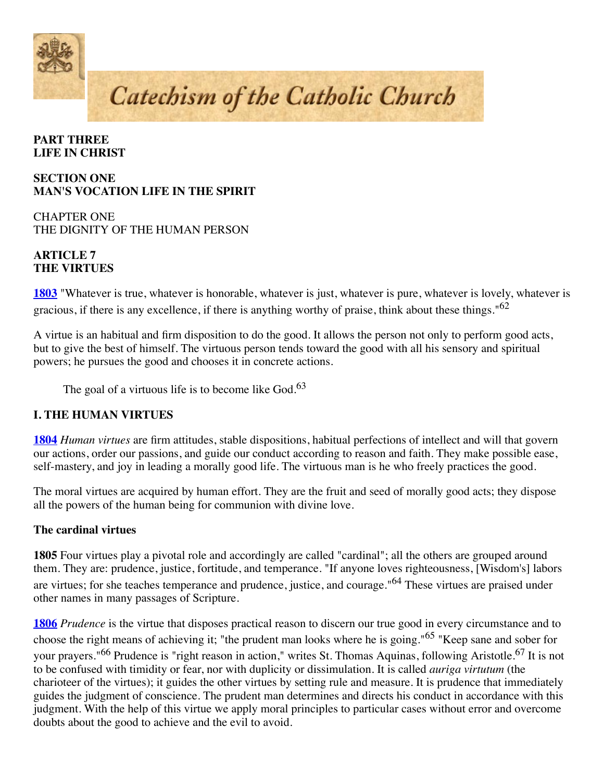

#### **PART THREE LIFE IN CHRIST**

#### **SECTION ONE MAN'S VOCATION LIFE IN THE SPIRIT**

CHAPTER ONE THE DIGNITY OF THE HUMAN PERSON

#### **ARTICLE 7 THE VIRTUES**

**[1803](javascript:openWindow()** "Whatever is true, whatever is honorable, whatever is just, whatever is pure, whatever is lovely, whatever is gracious, if there is any excellence, if there is anything worthy of praise, think about these things."<sup>62</sup>

A virtue is an habitual and firm disposition to do the good. It allows the person not only to perform good acts, but to give the best of himself. The virtuous person tends toward the good with all his sensory and spiritual powers; he pursues the good and chooses it in concrete actions.

The goal of a virtuous life is to become like  $God.<sup>63</sup>$ 

# **I. THE HUMAN VIRTUES**

**[1804](javascript:openWindow()** *Human virtues* are firm attitudes, stable dispositions, habitual perfections of intellect and will that govern our actions, order our passions, and guide our conduct according to reason and faith. They make possible ease, self-mastery, and joy in leading a morally good life. The virtuous man is he who freely practices the good.

The moral virtues are acquired by human effort. They are the fruit and seed of morally good acts; they dispose all the powers of the human being for communion with divine love.

#### **The cardinal virtues**

**1805** Four virtues play a pivotal role and accordingly are called "cardinal"; all the others are grouped around them. They are: prudence, justice, fortitude, and temperance. "If anyone loves righteousness, [Wisdom's] labors are virtues; for she teaches temperance and prudence, justice, and courage."<sup>64</sup> These virtues are praised under other names in many passages of Scripture.

**[1806](javascript:openWindow()** *Prudence* is the virtue that disposes practical reason to discern our true good in every circumstance and to choose the right means of achieving it; "the prudent man looks where he is going."<sup>65</sup> "Keep sane and sober for your prayers."<sup>66</sup> Prudence is "right reason in action," writes St. Thomas Aquinas, following Aristotle.<sup>67</sup> It is not to be confused with timidity or fear, nor with duplicity or dissimulation. It is called *auriga virtutum* (the charioteer of the virtues); it guides the other virtues by setting rule and measure. It is prudence that immediately guides the judgment of conscience. The prudent man determines and directs his conduct in accordance with this judgment. With the help of this virtue we apply moral principles to particular cases without error and overcome doubts about the good to achieve and the evil to avoid.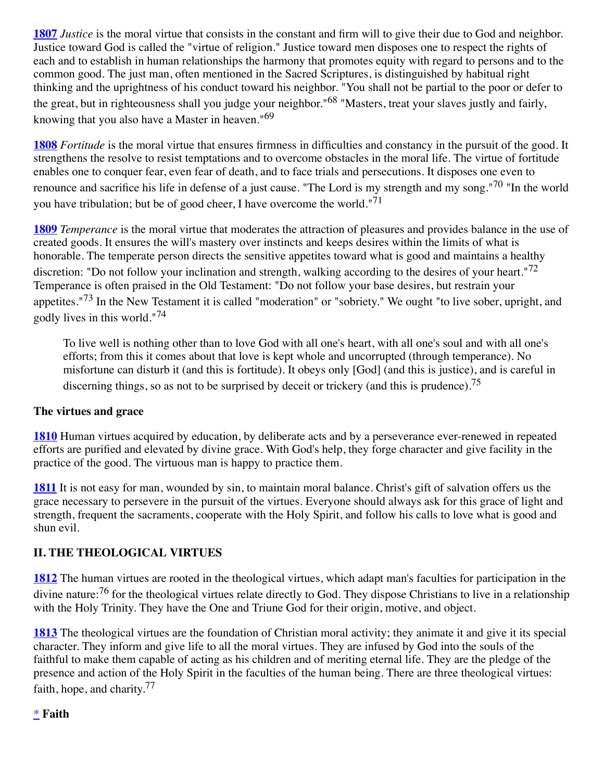**[1807](javascript:openWindow()** *Justice* is the moral virtue that consists in the constant and firm will to give their due to God and neighbor. Justice toward God is called the "virtue of religion." Justice toward men disposes one to respect the rights of each and to establish in human relationships the harmony that promotes equity with regard to persons and to the common good. The just man, often mentioned in the Sacred Scriptures, is distinguished by habitual right thinking and the uprightness of his conduct toward his neighbor. "You shall not be partial to the poor or defer to the great, but in righteousness shall you judge your neighbor."<sup>68</sup> "Masters, treat your slaves justly and fairly, knowing that you also have a Master in heaven."<sup>69</sup>

**[1808](javascript:openWindow()** *Fortitude* is the moral virtue that ensures firmness in difficulties and constancy in the pursuit of the good. It strengthens the resolve to resist temptations and to overcome obstacles in the moral life. The virtue of fortitude enables one to conquer fear, even fear of death, and to face trials and persecutions. It disposes one even to renounce and sacrifice his life in defense of a just cause. "The Lord is my strength and my song."<sup>70</sup> "In the world you have tribulation; but be of good cheer, I have overcome the world."<sup>71</sup>

**[1809](javascript:openWindow()** *Temperance* is the moral virtue that moderates the attraction of pleasures and provides balance in the use of created goods. It ensures the will's mastery over instincts and keeps desires within the limits of what is honorable. The temperate person directs the sensitive appetites toward what is good and maintains a healthy discretion: "Do not follow your inclination and strength, walking according to the desires of your heart."<sup>72</sup> Temperance is often praised in the Old Testament: "Do not follow your base desires, but restrain your appetites."<sup>73</sup> In the New Testament it is called "moderation" or "sobriety." We ought "to live sober, upright, and godly lives in this world."<sup>74</sup>

To live well is nothing other than to love God with all one's heart, with all one's soul and with all one's efforts; from this it comes about that love is kept whole and uncorrupted (through temperance). No misfortune can disturb it (and this is fortitude). It obeys only [God] (and this is justice), and is careful in discerning things, so as not to be surprised by deceit or trickery (and this is prudence).<sup>75</sup>

#### **The virtues and grace**

**[1810](javascript:openWindow()** Human virtues acquired by education, by deliberate acts and by a perseverance ever-renewed in repeated efforts are purified and elevated by divine grace. With God's help, they forge character and give facility in the practice of the good. The virtuous man is happy to practice them.

**[1811](javascript:openWindow()** It is not easy for man, wounded by sin, to maintain moral balance. Christ's gift of salvation offers us the grace necessary to persevere in the pursuit of the virtues. Everyone should always ask for this grace of light and strength, frequent the sacraments, cooperate with the Holy Spirit, and follow his calls to love what is good and shun evil.

# **II. THE THEOLOGICAL VIRTUES**

**[1812](javascript:openWindow()** The human virtues are rooted in the theological virtues, which adapt man's faculties for participation in the divine nature:<sup>76</sup> for the theological virtues relate directly to God. They dispose Christians to live in a relationship with the Holy Trinity. They have the One and Triune God for their origin, motive, and object.

**[1813](javascript:openWindow()** The theological virtues are the foundation of Christian moral activity; they animate it and give it its special character. They inform and give life to all the moral virtues. They are infused by God into the souls of the faithful to make them capable of acting as his children and of meriting eternal life. They are the pledge of the presence and action of the Holy Spirit in the faculties of the human being. There are three theological virtues: faith, hope, and charity.<sup>77</sup>

# [\\*](javascript:openWindow() **Faith**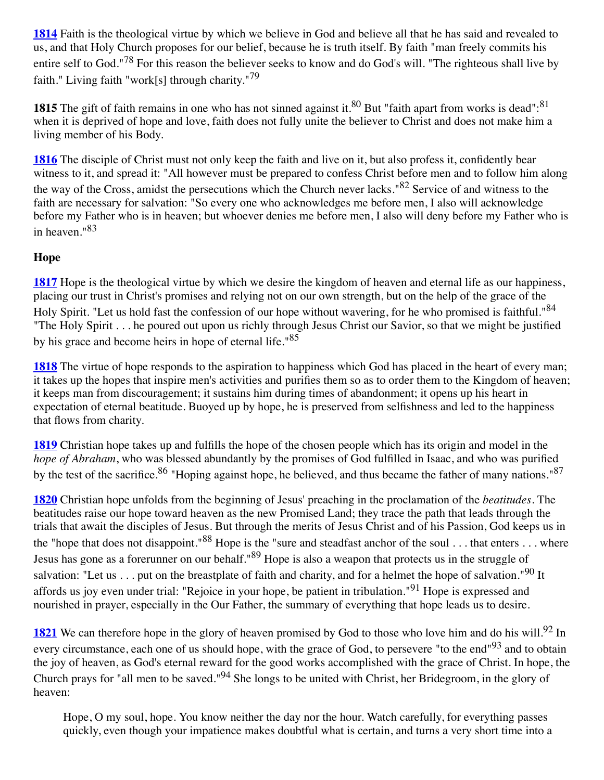**[1814](javascript:openWindow()** Faith is the theological virtue by which we believe in God and believe all that he has said and revealed to us, and that Holy Church proposes for our belief, because he is truth itself. By faith "man freely commits his entire self to God."<sup>78</sup> For this reason the believer seeks to know and do God's will. "The righteous shall live by faith." Living faith "work[s] through charity."<sup>79</sup>

1815 The gift of faith remains in one who has not sinned against it.<sup>80</sup> But "faith apart from works is dead":<sup>81</sup> when it is deprived of hope and love, faith does not fully unite the believer to Christ and does not make him a living member of his Body.

**[1816](javascript:openWindow()** The disciple of Christ must not only keep the faith and live on it, but also profess it, confidently bear witness to it, and spread it: "All however must be prepared to confess Christ before men and to follow him along the way of the Cross, amidst the persecutions which the Church never lacks."<sup>82</sup> Service of and witness to the faith are necessary for salvation: "So every one who acknowledges me before men, I also will acknowledge before my Father who is in heaven; but whoever denies me before men, I also will deny before my Father who is in heaven."<sup>83</sup>

# **Hope**

**[1817](javascript:openWindow()** Hope is the theological virtue by which we desire the kingdom of heaven and eternal life as our happiness, placing our trust in Christ's promises and relying not on our own strength, but on the help of the grace of the Holy Spirit. "Let us hold fast the confession of our hope without wavering, for he who promised is faithful."<sup>84</sup> "The Holy Spirit . . . he poured out upon us richly through Jesus Christ our Savior, so that we might be justified by his grace and become heirs in hope of eternal life."<sup>85</sup>

**[1818](javascript:openWindow()** The virtue of hope responds to the aspiration to happiness which God has placed in the heart of every man; it takes up the hopes that inspire men's activities and purifies them so as to order them to the Kingdom of heaven; it keeps man from discouragement; it sustains him during times of abandonment; it opens up his heart in expectation of eternal beatitude. Buoyed up by hope, he is preserved from selfishness and led to the happiness that flows from charity.

**[1819](javascript:openWindow()** Christian hope takes up and fulfills the hope of the chosen people which has its origin and model in the *hope of Abraham*, who was blessed abundantly by the promises of God fulfilled in Isaac, and who was purified by the test of the sacrifice.<sup>86</sup> "Hoping against hope, he believed, and thus became the father of many nations."<sup>87</sup>

**[1820](javascript:openWindow()** Christian hope unfolds from the beginning of Jesus' preaching in the proclamation of the *beatitudes*. The beatitudes raise our hope toward heaven as the new Promised Land; they trace the path that leads through the trials that await the disciples of Jesus. But through the merits of Jesus Christ and of his Passion, God keeps us in the "hope that does not disappoint."<sup>88</sup> Hope is the "sure and steadfast anchor of the soul . . . that enters . . . where Jesus has gone as a forerunner on our behalf."<sup>89</sup> Hope is also a weapon that protects us in the struggle of salvation: "Let us . . . put on the breastplate of faith and charity, and for a helmet the hope of salvation."<sup>90</sup> It affords us joy even under trial: "Rejoice in your hope, be patient in tribulation."<sup>91</sup> Hope is expressed and nourished in prayer, especially in the Our Father, the summary of everything that hope leads us to desire.

[1821](javascript:openWindow() We can therefore hope in the glory of heaven promised by God to those who love him and do his will.<sup>92</sup> In every circumstance, each one of us should hope, with the grace of God, to persevere "to the end"<sup>93</sup> and to obtain the joy of heaven, as God's eternal reward for the good works accomplished with the grace of Christ. In hope, the Church prays for "all men to be saved."<sup>94</sup> She longs to be united with Christ, her Bridegroom, in the glory of heaven:

Hope, O my soul, hope. You know neither the day nor the hour. Watch carefully, for everything passes quickly, even though your impatience makes doubtful what is certain, and turns a very short time into a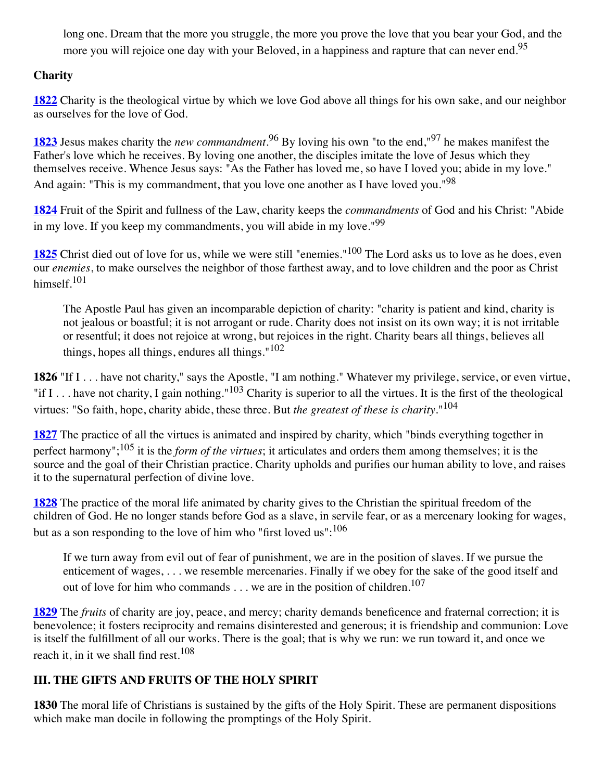long one. Dream that the more you struggle, the more you prove the love that you bear your God, and the more you will rejoice one day with your Beloved, in a happiness and rapture that can never end.<sup>95</sup>

# **Charity**

**[1822](javascript:openWindow()** Charity is the theological virtue by which we love God above all things for his own sake, and our neighbor as ourselves for the love of God.

**[1823](javascript:openWindow()** Jesus makes charity the *new commandment*. 96 By loving his own "to the end,"<sup>97</sup> he makes manifest the Father's love which he receives. By loving one another, the disciples imitate the love of Jesus which they themselves receive. Whence Jesus says: "As the Father has loved me, so have I loved you; abide in my love." And again: "This is my commandment, that you love one another as I have loved you."<sup>98</sup>

**[1824](javascript:openWindow()** Fruit of the Spirit and fullness of the Law, charity keeps the *commandments* of God and his Christ: "Abide in my love. If you keep my commandments, you will abide in my love."<sup>99</sup>

[1825](javascript:openWindow() Christ died out of love for us, while we were still "enemies."<sup>100</sup> The Lord asks us to love as he does, even our *enemies*, to make ourselves the neighbor of those farthest away, and to love children and the poor as Christ himself. $101$ 

The Apostle Paul has given an incomparable depiction of charity: "charity is patient and kind, charity is not jealous or boastful; it is not arrogant or rude. Charity does not insist on its own way; it is not irritable or resentful; it does not rejoice at wrong, but rejoices in the right. Charity bears all things, believes all things, hopes all things, endures all things." $102$ 

**1826** "If I . . . have not charity," says the Apostle, "I am nothing." Whatever my privilege, service, or even virtue, "if I . . . have not charity, I gain nothing."<sup>103</sup> Charity is superior to all the virtues. It is the first of the theological virtues: "So faith, hope, charity abide, these three. But *the greatest of these is charity*."<sup>104</sup>

**[1827](javascript:openWindow()** The practice of all the virtues is animated and inspired by charity, which "binds everything together in perfect harmony";<sup>105</sup> it is the *form of the virtues*; it articulates and orders them among themselves; it is the source and the goal of their Christian practice. Charity upholds and purifies our human ability to love, and raises it to the supernatural perfection of divine love.

**[1828](javascript:openWindow()** The practice of the moral life animated by charity gives to the Christian the spiritual freedom of the children of God. He no longer stands before God as a slave, in servile fear, or as a mercenary looking for wages, but as a son responding to the love of him who "first loved us": <sup>106</sup>

If we turn away from evil out of fear of punishment, we are in the position of slaves. If we pursue the enticement of wages, . . . we resemble mercenaries. Finally if we obey for the sake of the good itself and out of love for him who commands  $\dots$  we are in the position of children.<sup>107</sup>

**[1829](javascript:openWindow()** The *fruits* of charity are joy, peace, and mercy; charity demands beneficence and fraternal correction; it is benevolence; it fosters reciprocity and remains disinterested and generous; it is friendship and communion: Love is itself the fulfillment of all our works. There is the goal; that is why we run: we run toward it, and once we reach it, in it we shall find rest.<sup>108</sup>

# **III. THE GIFTS AND FRUITS OF THE HOLY SPIRIT**

**1830** The moral life of Christians is sustained by the gifts of the Holy Spirit. These are permanent dispositions which make man docile in following the promptings of the Holy Spirit.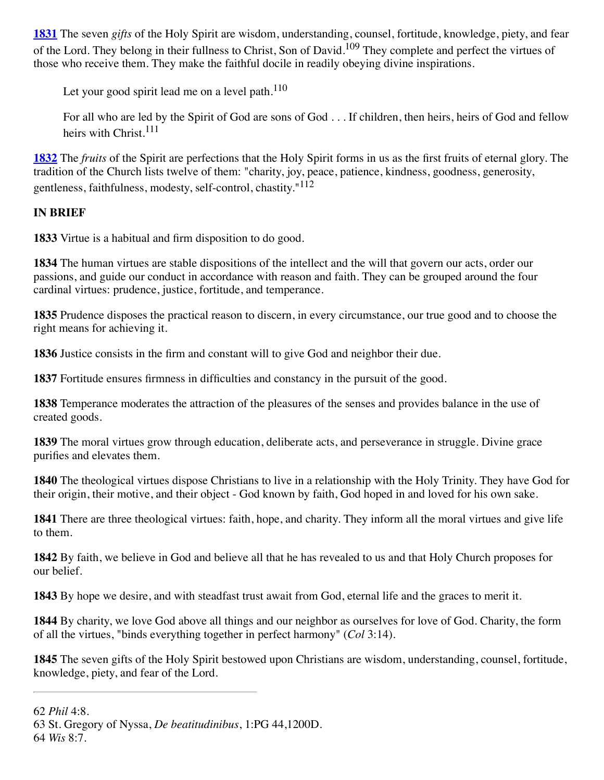**[1831](javascript:openWindow()** The seven *gifts* of the Holy Spirit are wisdom, understanding, counsel, fortitude, knowledge, piety, and fear of the Lord. They belong in their fullness to Christ, Son of David.<sup>109</sup> They complete and perfect the virtues of those who receive them. They make the faithful docile in readily obeying divine inspirations.

Let your good spirit lead me on a level path. $110$ 

For all who are led by the Spirit of God are sons of God . . . If children, then heirs, heirs of God and fellow heirs with Christ.<sup>111</sup>

**[1832](javascript:openWindow()** The *fruits* of the Spirit are perfections that the Holy Spirit forms in us as the first fruits of eternal glory. The tradition of the Church lists twelve of them: "charity, joy, peace, patience, kindness, goodness, generosity, gentleness, faithfulness, modesty, self-control, chastity."<sup>112</sup>

# **IN BRIEF**

**1833** Virtue is a habitual and firm disposition to do good.

**1834** The human virtues are stable dispositions of the intellect and the will that govern our acts, order our passions, and guide our conduct in accordance with reason and faith. They can be grouped around the four cardinal virtues: prudence, justice, fortitude, and temperance.

**1835** Prudence disposes the practical reason to discern, in every circumstance, our true good and to choose the right means for achieving it.

**1836** Justice consists in the firm and constant will to give God and neighbor their due.

**1837** Fortitude ensures firmness in difficulties and constancy in the pursuit of the good.

**1838** Temperance moderates the attraction of the pleasures of the senses and provides balance in the use of created goods.

**1839** The moral virtues grow through education, deliberate acts, and perseverance in struggle. Divine grace purifies and elevates them.

**1840** The theological virtues dispose Christians to live in a relationship with the Holy Trinity. They have God for their origin, their motive, and their object - God known by faith, God hoped in and loved for his own sake.

**1841** There are three theological virtues: faith, hope, and charity. They inform all the moral virtues and give life to them.

**1842** By faith, we believe in God and believe all that he has revealed to us and that Holy Church proposes for our belief.

**1843** By hope we desire, and with steadfast trust await from God, eternal life and the graces to merit it.

**1844** By charity, we love God above all things and our neighbor as ourselves for love of God. Charity, the form of all the virtues, "binds everything together in perfect harmony" (*Col* 3:14).

**1845** The seven gifts of the Holy Spirit bestowed upon Christians are wisdom, understanding, counsel, fortitude, knowledge, piety, and fear of the Lord.

62 *Phil* 4:8.

63 St. Gregory of Nyssa, *De beatitudinibus*, 1:PG 44,1200D.

64 *Wis* 8:7.